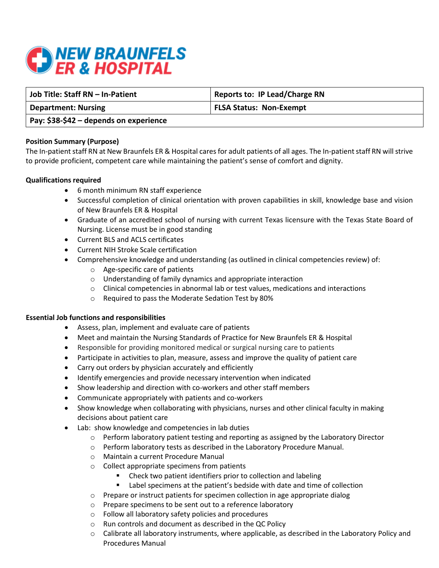

| Job Title: Staff RN - In-Patient       | <b>Reports to: IP Lead/Charge RN</b> |
|----------------------------------------|--------------------------------------|
| <b>Department: Nursing</b>             | <b>FLSA Status: Non-Exempt</b>       |
| Pay: \$38-\$42 – depends on experience |                                      |

# **Position Summary (Purpose)**

The In-patient staff RN at New Braunfels ER & Hospital cares for adult patients of all ages. The In-patient staff RN will strive to provide proficient, competent care while maintaining the patient's sense of comfort and dignity.

### **Qualifications required**

- 6 month minimum RN staff experience
- Successful completion of clinical orientation with proven capabilities in skill, knowledge base and vision of New Braunfels ER & Hospital
- Graduate of an accredited school of nursing with current Texas licensure with the Texas State Board of Nursing. License must be in good standing
- Current BLS and ACLS certificates
- Current NIH Stroke Scale certification
- Comprehensive knowledge and understanding (as outlined in clinical competencies review) of:
	- o Age-specific care of patients
	- o Understanding of family dynamics and appropriate interaction
	- $\circ$  Clinical competencies in abnormal lab or test values, medications and interactions
	- o Required to pass the Moderate Sedation Test by 80%

# **Essential Job functions and responsibilities**

- Assess, plan, implement and evaluate care of patients
- Meet and maintain the Nursing Standards of Practice for New Braunfels ER & Hospital
- Responsible for providing monitored medical or surgical nursing care to patients
- Participate in activities to plan, measure, assess and improve the quality of patient care
- Carry out orders by physician accurately and efficiently
- Identify emergencies and provide necessary intervention when indicated
- Show leadership and direction with co-workers and other staff members
- Communicate appropriately with patients and co-workers
- Show knowledge when collaborating with physicians, nurses and other clinical faculty in making decisions about patient care
- Lab: show knowledge and competencies in lab duties
	- o Perform laboratory patient testing and reporting as assigned by the Laboratory Director
	- o Perform laboratory tests as described in the Laboratory Procedure Manual.
	- o Maintain a current Procedure Manual
	- o Collect appropriate specimens from patients
		- Check two patient identifiers prior to collection and labeling
		- **E** Label specimens at the patient's bedside with date and time of collection
	- o Prepare or instruct patients for specimen collection in age appropriate dialog
	- o Prepare specimens to be sent out to a reference laboratory
	- o Follow all laboratory safety policies and procedures
	- o Run controls and document as described in the QC Policy
	- $\circ$  Calibrate all laboratory instruments, where applicable, as described in the Laboratory Policy and Procedures Manual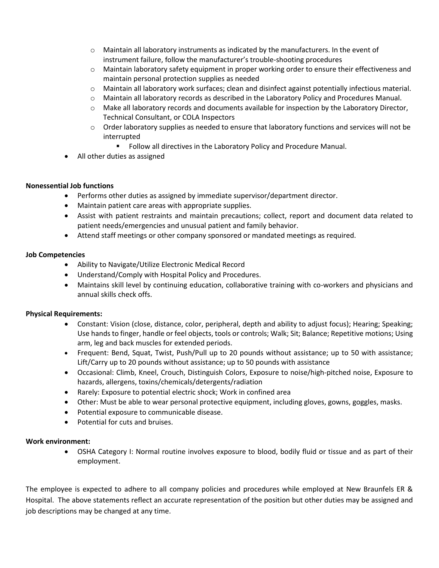- o Maintain all laboratory instruments as indicated by the manufacturers. In the event of instrument failure, follow the manufacturer's trouble-shooting procedures
- o Maintain laboratory safety equipment in proper working order to ensure their effectiveness and maintain personal protection supplies as needed
- o Maintain all laboratory work surfaces; clean and disinfect against potentially infectious material.
- o Maintain all laboratory records as described in the Laboratory Policy and Procedures Manual.
- $\circ$  Make all laboratory records and documents available for inspection by the Laboratory Director, Technical Consultant, or COLA Inspectors
- $\circ$  Order laboratory supplies as needed to ensure that laboratory functions and services will not be interrupted
	- **FILLET Follow all directives in the Laboratory Policy and Procedure Manual.**
- All other duties as assigned

# **Nonessential Job functions**

- Performs other duties as assigned by immediate supervisor/department director.
- Maintain patient care areas with appropriate supplies.
- Assist with patient restraints and maintain precautions; collect, report and document data related to patient needs/emergencies and unusual patient and family behavior.
- Attend staff meetings or other company sponsored or mandated meetings as required.

# **Job Competencies**

- Ability to Navigate/Utilize Electronic Medical Record
- Understand/Comply with Hospital Policy and Procedures.
- Maintains skill level by continuing education, collaborative training with co-workers and physicians and annual skills check offs.

# **Physical Requirements:**

- Constant: Vision (close, distance, color, peripheral, depth and ability to adjust focus); Hearing; Speaking; Use hands to finger, handle or feel objects, tools or controls; Walk; Sit; Balance; Repetitive motions; Using arm, leg and back muscles for extended periods.
- Frequent: Bend, Squat, Twist, Push/Pull up to 20 pounds without assistance; up to 50 with assistance; Lift/Carry up to 20 pounds without assistance; up to 50 pounds with assistance
- Occasional: Climb, Kneel, Crouch, Distinguish Colors, Exposure to noise/high-pitched noise, Exposure to hazards, allergens, toxins/chemicals/detergents/radiation
- Rarely: Exposure to potential electric shock; Work in confined area
- Other: Must be able to wear personal protective equipment, including gloves, gowns, goggles, masks.
- Potential exposure to communicable disease.
- Potential for cuts and bruises.

# **Work environment:**

• OSHA Category I: Normal routine involves exposure to blood, bodily fluid or tissue and as part of their employment.

The employee is expected to adhere to all company policies and procedures while employed at New Braunfels ER & Hospital. The above statements reflect an accurate representation of the position but other duties may be assigned and job descriptions may be changed at any time.